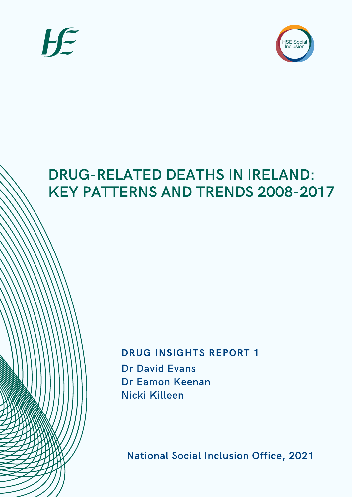



# DRUG-RELATED DEATHS IN IRELAND: KEY PATTERNS AND TRENDS 2008-2017

## DRUG INSIGHTS REPORT 1

Dr David Evans Dr Eamon Keenan Nicki Killeen

National Social Inclusion Office, 2021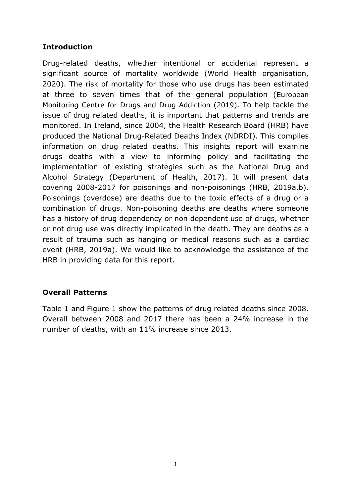## **Introduction**

Drug-related deaths, whether intentional or accidental represent a significant source of mortality worldwide (World Health organisation, 2020). The risk of mortality for those who use drugs has been estimated at three to seven times that of the general population (European Monitoring Centre for Drugs and Drug Addiction (2019). To help tackle the issue of drug related deaths, it is important that patterns and trends are monitored. In Ireland, since 2004, the Health Research Board (HRB) have produced the National Drug-Related Deaths Index (NDRDI). This compiles information on drug related deaths. This insights report will examine drugs deaths with a view to informing policy and facilitating the implementation of existing strategies such as the National Drug and Alcohol Strategy (Department of Health, 2017). It will present data covering 2008-2017 for poisonings and non-poisonings (HRB, 2019a,b). Poisonings (overdose) are deaths due to the toxic effects of a drug or a combination of drugs. Non-poisoning deaths are deaths where someone has a history of drug dependency or non dependent use of drugs, whether or not drug use was directly implicated in the death. They are deaths as a result of trauma such as hanging or medical reasons such as a cardiac event (HRB, 2019a). We would like to acknowledge the assistance of the HRB in providing data for this report.

## **Overall Patterns**

Table 1 and Figure 1 show the patterns of drug related deaths since 2008. Overall between 2008 and 2017 there has been a 24% increase in the number of deaths, with an 11% increase since 2013.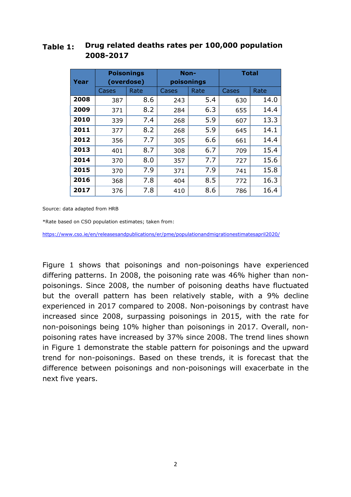## **Table 1: Drug related deaths rates per 100,000 population 2008-2017**

|      | <b>Poisonings</b> |      | Non-       |      | <b>Total</b> |             |
|------|-------------------|------|------------|------|--------------|-------------|
| Year | (overdose)        |      | poisonings |      |              |             |
|      | Cases             | Rate | Cases      | Rate | Cases        | <b>Rate</b> |
| 2008 | 387               | 8.6  | 243        | 5.4  | 630          | 14.0        |
| 2009 | 371               | 8.2  | 284        | 6.3  | 655          | 14.4        |
| 2010 | 339               | 7.4  | 268        | 5.9  | 607          | 13.3        |
| 2011 | 377               | 8.2  | 268        | 5.9  | 645          | 14.1        |
| 2012 | 356               | 7.7  | 305        | 6.6  | 661          | 14.4        |
| 2013 | 401               | 8.7  | 308        | 6.7  | 709          | 15.4        |
| 2014 | 370               | 8.0  | 357        | 7.7  | 727          | 15.6        |
| 2015 | 370               | 7.9  | 371        | 7.9  | 741          | 15.8        |
| 2016 | 368               | 7.8  | 404        | 8.5  | 772          | 16.3        |
| 2017 | 376               | 7.8  | 410        | 8.6  | 786          | 16.4        |

Source: data adapted from HRB

\*Rate based on CSO population estimates; taken from:

https://www.cso.ie/en/releasesandpublications/er/pme/populationandmigrationestimatesapril2020/

Figure 1 shows that poisonings and non-poisonings have experienced differing patterns. In 2008, the poisoning rate was 46% higher than nonpoisonings. Since 2008, the number of poisoning deaths have fluctuated but the overall pattern has been relatively stable, with a 9% decline experienced in 2017 compared to 2008. Non-poisonings by contrast have increased since 2008, surpassing poisonings in 2015, with the rate for non-poisonings being 10% higher than poisonings in 2017. Overall, nonpoisoning rates have increased by 37% since 2008. The trend lines shown in Figure 1 demonstrate the stable pattern for poisonings and the upward trend for non-poisonings. Based on these trends, it is forecast that the difference between poisonings and non-poisonings will exacerbate in the next five years.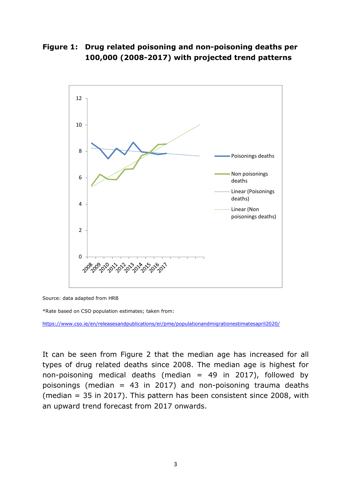## **Figure 1: Drug related poisoning and non-poisoning deaths per 100,000 (2008-2017) with projected trend patterns**



Source: data adapted from HRB

\*Rate based on CSO population estimates; taken from:

https://www.cso.ie/en/releasesandpublications/er/pme/populationandmigrationestimatesapril2020/

It can be seen from Figure 2 that the median age has increased for all types of drug related deaths since 2008. The median age is highest for non-poisoning medical deaths (median  $=$  49 in 2017), followed by poisonings (median = 43 in 2017) and non-poisoning trauma deaths (median = 35 in 2017). This pattern has been consistent since 2008, with an upward trend forecast from 2017 onwards.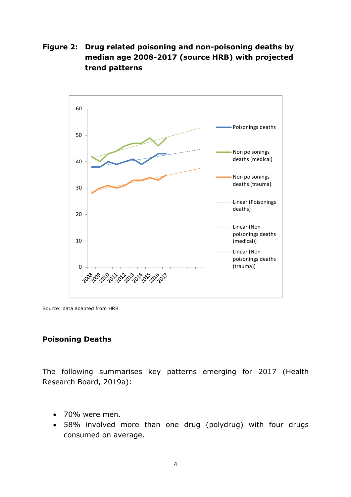**Figure 2: Drug related poisoning and non-poisoning deaths by median age 2008-2017 (source HRB) with projected trend patterns** 



Source: data adapted from HRB

#### **Poisoning Deaths**

The following summarises key patterns emerging for 2017 (Health Research Board, 2019a):

- 70% were men.
- 58% involved more than one drug (polydrug) with four drugs consumed on average.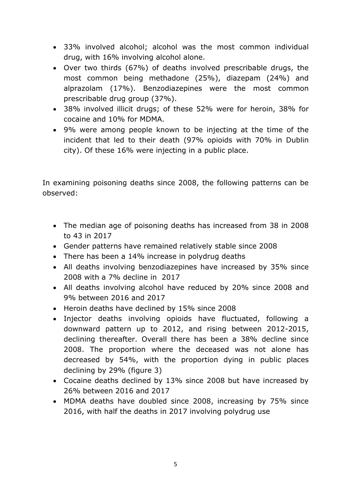- 33% involved alcohol; alcohol was the most common individual drug, with 16% involving alcohol alone.
- Over two thirds (67%) of deaths involved prescribable drugs, the most common being methadone (25%), diazepam (24%) and alprazolam (17%). Benzodiazepines were the most common prescribable drug group (37%).
- 38% involved illicit drugs; of these 52% were for heroin, 38% for cocaine and 10% for MDMA.
- 9% were among people known to be injecting at the time of the incident that led to their death (97% opioids with 70% in Dublin city). Of these 16% were injecting in a public place.

In examining poisoning deaths since 2008, the following patterns can be observed:

- The median age of poisoning deaths has increased from 38 in 2008 to 43 in 2017
- Gender patterns have remained relatively stable since 2008
- There has been a 14% increase in polydrug deaths
- All deaths involving benzodiazepines have increased by 35% since 2008 with a 7% decline in 2017
- All deaths involving alcohol have reduced by 20% since 2008 and 9% between 2016 and 2017
- Heroin deaths have declined by 15% since 2008
- Injector deaths involving opioids have fluctuated, following a downward pattern up to 2012, and rising between 2012-2015, declining thereafter. Overall there has been a 38% decline since 2008. The proportion where the deceased was not alone has decreased by 54%, with the proportion dying in public places declining by 29% (figure 3)
- Cocaine deaths declined by 13% since 2008 but have increased by 26% between 2016 and 2017
- MDMA deaths have doubled since 2008, increasing by 75% since 2016, with half the deaths in 2017 involving polydrug use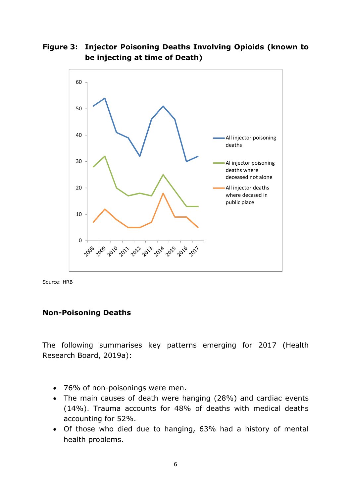**Figure 3: Injector Poisoning Deaths Involving Opioids (known to be injecting at time of Death)** 



Source: HRB

#### **Non-Poisoning Deaths**

The following summarises key patterns emerging for 2017 (Health Research Board, 2019a):

- 76% of non-poisonings were men.
- The main causes of death were hanging (28%) and cardiac events (14%). Trauma accounts for 48% of deaths with medical deaths accounting for 52%.
- Of those who died due to hanging, 63% had a history of mental health problems.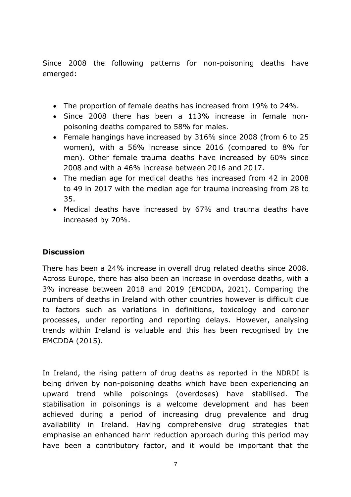Since 2008 the following patterns for non-poisoning deaths have emerged:

- The proportion of female deaths has increased from 19% to 24%.
- Since 2008 there has been a 113% increase in female nonpoisoning deaths compared to 58% for males.
- Female hangings have increased by 316% since 2008 (from 6 to 25 women), with a 56% increase since 2016 (compared to 8% for men). Other female trauma deaths have increased by 60% since 2008 and with a 46% increase between 2016 and 2017.
- The median age for medical deaths has increased from 42 in 2008 to 49 in 2017 with the median age for trauma increasing from 28 to 35.
- Medical deaths have increased by 67% and trauma deaths have increased by 70%.

## **Discussion**

There has been a 24% increase in overall drug related deaths since 2008. Across Europe, there has also been an increase in overdose deaths, with a 3% increase between 2018 and 2019 (EMCDDA, 2021). Comparing the numbers of deaths in Ireland with other countries however is difficult due to factors such as variations in definitions, toxicology and coroner processes, under reporting and reporting delays. However, analysing trends within Ireland is valuable and this has been recognised by the EMCDDA (2015).

In Ireland, the rising pattern of drug deaths as reported in the NDRDI is being driven by non-poisoning deaths which have been experiencing an upward trend while poisonings (overdoses) have stabilised. The stabilisation in poisonings is a welcome development and has been achieved during a period of increasing drug prevalence and drug availability in Ireland. Having comprehensive drug strategies that emphasise an enhanced harm reduction approach during this period may have been a contributory factor, and it would be important that the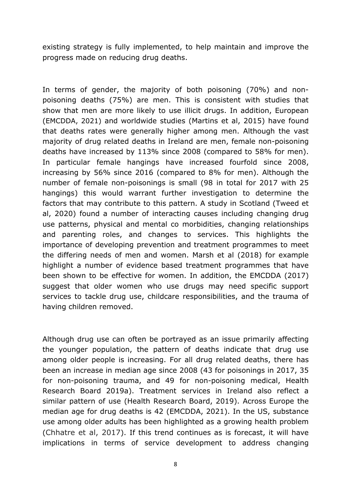existing strategy is fully implemented, to help maintain and improve the progress made on reducing drug deaths.

In terms of gender, the majority of both poisoning (70%) and nonpoisoning deaths (75%) are men. This is consistent with studies that show that men are more likely to use illicit drugs. In addition, European (EMCDDA, 2021) and worldwide studies (Martins et al, 2015) have found that deaths rates were generally higher among men. Although the vast majority of drug related deaths in Ireland are men, female non-poisoning deaths have increased by 113% since 2008 (compared to 58% for men). In particular female hangings have increased fourfold since 2008, increasing by 56% since 2016 (compared to 8% for men). Although the number of female non-poisonings is small (98 in total for 2017 with 25 hangings) this would warrant further investigation to determine the factors that may contribute to this pattern. A study in Scotland (Tweed et al, 2020) found a number of interacting causes including changing drug use patterns, physical and mental co morbidities, changing relationships and parenting roles, and changes to services. This highlights the importance of developing prevention and treatment programmes to meet the differing needs of men and women. Marsh et al (2018) for example highlight a number of evidence based treatment programmes that have been shown to be effective for women. In addition, the EMCDDA (2017) suggest that older women who use drugs may need specific support services to tackle drug use, childcare responsibilities, and the trauma of having children removed.

Although drug use can often be portrayed as an issue primarily affecting the younger population, the pattern of deaths indicate that drug use among older people is increasing. For all drug related deaths, there has been an increase in median age since 2008 (43 for poisonings in 2017, 35 for non-poisoning trauma, and 49 for non-poisoning medical, Health Research Board 2019a). Treatment services in Ireland also reflect a similar pattern of use (Health Research Board, 2019). Across Europe the median age for drug deaths is 42 (EMCDDA, 2021). In the US, substance use among older adults has been highlighted as a growing health problem (Chhatre et al, 2017). If this trend continues as is forecast, it will have implications in terms of service development to address changing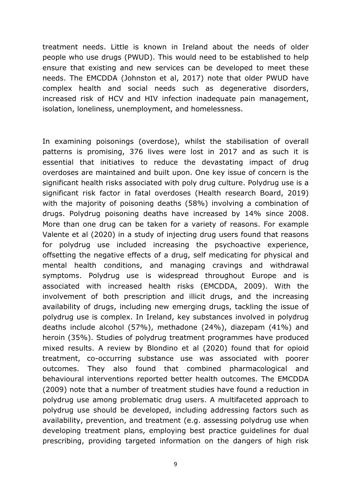treatment needs. Little is known in Ireland about the needs of older people who use drugs (PWUD). This would need to be established to help ensure that existing and new services can be developed to meet these needs. The EMCDDA (Johnston et al, 2017) note that older PWUD have complex health and social needs such as degenerative disorders, increased risk of HCV and HIV infection inadequate pain management, isolation, loneliness, unemployment, and homelessness.

In examining poisonings (overdose), whilst the stabilisation of overall patterns is promising, 376 lives were lost in 2017 and as such it is essential that initiatives to reduce the devastating impact of drug overdoses are maintained and built upon. One key issue of concern is the significant health risks associated with poly drug culture. Polydrug use is a significant risk factor in fatal overdoses (Health research Board, 2019) with the majority of poisoning deaths (58%) involving a combination of drugs. Polydrug poisoning deaths have increased by 14% since 2008. More than one drug can be taken for a variety of reasons. For example Valente et al (2020) in a study of injecting drug users found that reasons for polydrug use included increasing the psychoactive experience, offsetting the negative effects of a drug, self medicating for physical and mental health conditions, and managing cravings and withdrawal symptoms. Polydrug use is widespread throughout Europe and is associated with increased health risks (EMCDDA, 2009). With the involvement of both prescription and illicit drugs, and the increasing availability of drugs, including new emerging drugs, tackling the issue of polydrug use is complex. In Ireland, key substances involved in polydrug deaths include alcohol (57%), methadone (24%), diazepam (41%) and heroin (35%). Studies of polydrug treatment programmes have produced mixed results. A review by Blondino et al (2020) found that for opioid treatment, co-occurring substance use was associated with poorer outcomes. They also found that combined pharmacological and behavioural interventions reported better health outcomes. The EMCDDA (2009) note that a number of treatment studies have found a reduction in polydrug use among problematic drug users. A multifaceted approach to polydrug use should be developed, including addressing factors such as availability, prevention, and treatment (e.g. assessing polydrug use when developing treatment plans, employing best practice guidelines for dual prescribing, providing targeted information on the dangers of high risk

9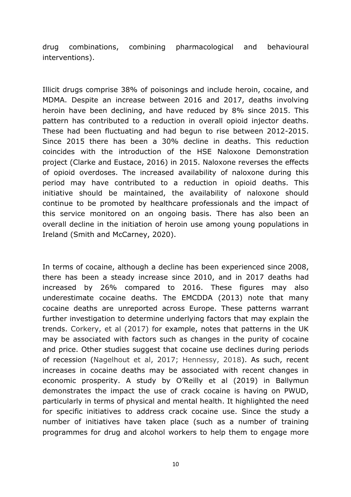drug combinations, combining pharmacological and behavioural interventions).

Illicit drugs comprise 38% of poisonings and include heroin, cocaine, and MDMA. Despite an increase between 2016 and 2017, deaths involving heroin have been declining, and have reduced by 8% since 2015. This pattern has contributed to a reduction in overall opioid injector deaths. These had been fluctuating and had begun to rise between 2012-2015. Since 2015 there has been a 30% decline in deaths. This reduction coincides with the introduction of the HSE Naloxone Demonstration project (Clarke and Eustace, 2016) in 2015. Naloxone reverses the effects of opioid overdoses. The increased availability of naloxone during this period may have contributed to a reduction in opioid deaths. This initiative should be maintained, the availability of naloxone should continue to be promoted by healthcare professionals and the impact of this service monitored on an ongoing basis. There has also been an overall decline in the initiation of heroin use among young populations in Ireland (Smith and McCarney, 2020).

In terms of cocaine, although a decline has been experienced since 2008, there has been a steady increase since 2010, and in 2017 deaths had increased by 26% compared to 2016. These figures may also underestimate cocaine deaths. The EMCDDA (2013) note that many cocaine deaths are unreported across Europe. These patterns warrant further investigation to determine underlying factors that may explain the trends. Corkery, et al (2017) for example, notes that patterns in the UK may be associated with factors such as changes in the purity of cocaine and price. Other studies suggest that cocaine use declines during periods of recession (Nagelhout et al, 2017; Hennessy, 2018). As such, recent increases in cocaine deaths may be associated with recent changes in economic prosperity. A study by O'Reilly et al (2019) in Ballymun demonstrates the impact the use of crack cocaine is having on PWUD, particularly in terms of physical and mental health. It highlighted the need for specific initiatives to address crack cocaine use. Since the study a number of initiatives have taken place (such as a number of training programmes for drug and alcohol workers to help them to engage more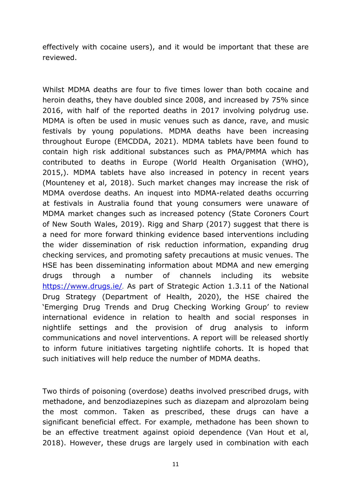effectively with cocaine users), and it would be important that these are reviewed.

Whilst MDMA deaths are four to five times lower than both cocaine and heroin deaths, they have doubled since 2008, and increased by 75% since 2016, with half of the reported deaths in 2017 involving polydrug use. MDMA is often be used in music venues such as dance, rave, and music festivals by young populations. MDMA deaths have been increasing throughout Europe (EMCDDA, 2021). MDMA tablets have been found to contain high risk additional substances such as PMA/PMMA which has contributed to deaths in Europe (World Health Organisation (WHO), 2015,). MDMA tablets have also increased in potency in recent years (Mounteney et al, 2018). Such market changes may increase the risk of MDMA overdose deaths. An inquest into MDMA-related deaths occurring at festivals in Australia found that young consumers were unaware of MDMA market changes such as increased potency (State Coroners Court of New South Wales, 2019). Rigg and Sharp (2017) suggest that there is a need for more forward thinking evidence based interventions including the wider dissemination of risk reduction information, expanding drug checking services, and promoting safety precautions at music venues. The HSE has been disseminating information about MDMA and new emerging drugs through a number of channels including its website https://www.drugs.ie/. As part of Strategic Action 1.3.11 of the National Drug Strategy (Department of Health, 2020), the HSE chaired the 'Emerging Drug Trends and Drug Checking Working Group' to review international evidence in relation to health and social responses in nightlife settings and the provision of drug analysis to inform communications and novel interventions. A report will be released shortly to inform future initiatives targeting nightlife cohorts. It is hoped that such initiatives will help reduce the number of MDMA deaths.

Two thirds of poisoning (overdose) deaths involved prescribed drugs, with methadone, and benzodiazepines such as diazepam and alprozolam being the most common. Taken as prescribed, these drugs can have a significant beneficial effect. For example, methadone has been shown to be an effective treatment against opioid dependence (Van Hout et al, 2018). However, these drugs are largely used in combination with each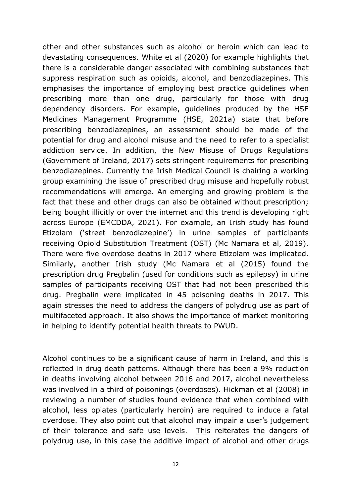other and other substances such as alcohol or heroin which can lead to devastating consequences. White et al (2020) for example highlights that there is a considerable danger associated with combining substances that suppress respiration such as opioids, alcohol, and benzodiazepines. This emphasises the importance of employing best practice guidelines when prescribing more than one drug, particularly for those with drug dependency disorders. For example, guidelines produced by the HSE Medicines Management Programme (HSE, 2021a) state that before prescribing benzodiazepines, an assessment should be made of the potential for drug and alcohol misuse and the need to refer to a specialist addiction service. In addition, the New Misuse of Drugs Regulations (Government of Ireland, 2017) sets stringent requirements for prescribing benzodiazepines. Currently the Irish Medical Council is chairing a working group examining the issue of prescribed drug misuse and hopefully robust recommendations will emerge. An emerging and growing problem is the fact that these and other drugs can also be obtained without prescription; being bought illicitly or over the internet and this trend is developing right across Europe (EMCDDA, 2021). For example, an Irish study has found Etizolam ('street benzodiazepine') in urine samples of participants receiving Opioid Substitution Treatment (OST) (Mc Namara et al, 2019). There were five overdose deaths in 2017 where Etizolam was implicated. Similarly, another Irish study (Mc Namara et al (2015) found the prescription drug Pregbalin (used for conditions such as epilepsy) in urine samples of participants receiving OST that had not been prescribed this drug. Pregbalin were implicated in 45 poisoning deaths in 2017. This again stresses the need to address the dangers of polydrug use as part of multifaceted approach. It also shows the importance of market monitoring in helping to identify potential health threats to PWUD.

Alcohol continues to be a significant cause of harm in Ireland, and this is reflected in drug death patterns. Although there has been a 9% reduction in deaths involving alcohol between 2016 and 2017, alcohol nevertheless was involved in a third of poisonings (overdoses). Hickman et al (2008) in reviewing a number of studies found evidence that when combined with alcohol, less opiates (particularly heroin) are required to induce a fatal overdose. They also point out that alcohol may impair a user's judgement of their tolerance and safe use levels. This reiterates the dangers of polydrug use, in this case the additive impact of alcohol and other drugs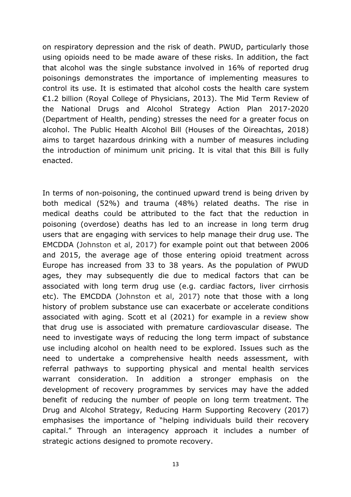on respiratory depression and the risk of death. PWUD, particularly those using opioids need to be made aware of these risks. In addition, the fact that alcohol was the single substance involved in 16% of reported drug poisonings demonstrates the importance of implementing measures to control its use. It is estimated that alcohol costs the health care system €1.2 billion (Royal College of Physicians, 2013). The Mid Term Review of the National Drugs and Alcohol Strategy Action Plan 2017-2020 (Department of Health, pending) stresses the need for a greater focus on alcohol. The Public Health Alcohol Bill (Houses of the Oireachtas, 2018) aims to target hazardous drinking with a number of measures including the introduction of minimum unit pricing. It is vital that this Bill is fully enacted.

In terms of non-poisoning, the continued upward trend is being driven by both medical (52%) and trauma (48%) related deaths. The rise in medical deaths could be attributed to the fact that the reduction in poisoning (overdose) deaths has led to an increase in long term drug users that are engaging with services to help manage their drug use. The EMCDDA (Johnston et al, 2017) for example point out that between 2006 and 2015, the average age of those entering opioid treatment across Europe has increased from 33 to 38 years. As the population of PWUD ages, they may subsequently die due to medical factors that can be associated with long term drug use (e.g. cardiac factors, liver cirrhosis etc). The EMCDDA (Johnston et al, 2017) note that those with a long history of problem substance use can exacerbate or accelerate conditions associated with aging. Scott et al (2021) for example in a review show that drug use is associated with premature cardiovascular disease. The need to investigate ways of reducing the long term impact of substance use including alcohol on health need to be explored. Issues such as the need to undertake a comprehensive health needs assessment, with referral pathways to supporting physical and mental health services warrant consideration. In addition a stronger emphasis on the development of recovery programmes by services may have the added benefit of reducing the number of people on long term treatment. The Drug and Alcohol Strategy, Reducing Harm Supporting Recovery (2017) emphasises the importance of "helping individuals build their recovery capital." Through an interagency approach it includes a number of strategic actions designed to promote recovery.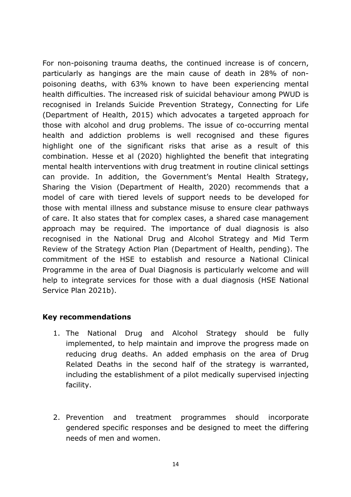For non-poisoning trauma deaths, the continued increase is of concern, particularly as hangings are the main cause of death in 28% of nonpoisoning deaths, with 63% known to have been experiencing mental health difficulties. The increased risk of suicidal behaviour among PWUD is recognised in Irelands Suicide Prevention Strategy, Connecting for Life (Department of Health, 2015) which advocates a targeted approach for those with alcohol and drug problems. The issue of co-occurring mental health and addiction problems is well recognised and these figures highlight one of the significant risks that arise as a result of this combination. Hesse et al (2020) highlighted the benefit that integrating mental health interventions with drug treatment in routine clinical settings can provide. In addition, the Government's Mental Health Strategy, Sharing the Vision (Department of Health, 2020) recommends that a model of care with tiered levels of support needs to be developed for those with mental illness and substance misuse to ensure clear pathways of care. It also states that for complex cases, a shared case management approach may be required. The importance of dual diagnosis is also recognised in the National Drug and Alcohol Strategy and Mid Term Review of the Strategy Action Plan (Department of Health, pending). The commitment of the HSE to establish and resource a National Clinical Programme in the area of Dual Diagnosis is particularly welcome and will help to integrate services for those with a dual diagnosis (HSE National Service Plan 2021b).

### **Key recommendations**

- 1. The National Drug and Alcohol Strategy should be fully implemented, to help maintain and improve the progress made on reducing drug deaths. An added emphasis on the area of Drug Related Deaths in the second half of the strategy is warranted, including the establishment of a pilot medically supervised injecting facility.
- 2. Prevention and treatment programmes should incorporate gendered specific responses and be designed to meet the differing needs of men and women.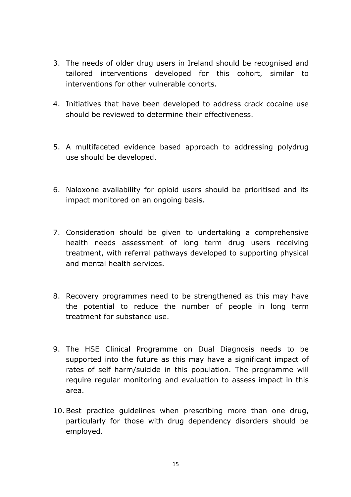- 3. The needs of older drug users in Ireland should be recognised and tailored interventions developed for this cohort, similar to interventions for other vulnerable cohorts.
- 4. Initiatives that have been developed to address crack cocaine use should be reviewed to determine their effectiveness.
- 5. A multifaceted evidence based approach to addressing polydrug use should be developed.
- 6. Naloxone availability for opioid users should be prioritised and its impact monitored on an ongoing basis.
- 7. Consideration should be given to undertaking a comprehensive health needs assessment of long term drug users receiving treatment, with referral pathways developed to supporting physical and mental health services.
- 8. Recovery programmes need to be strengthened as this may have the potential to reduce the number of people in long term treatment for substance use.
- 9. The HSE Clinical Programme on Dual Diagnosis needs to be supported into the future as this may have a significant impact of rates of self harm/suicide in this population. The programme will require regular monitoring and evaluation to assess impact in this area.
- 10.Best practice guidelines when prescribing more than one drug, particularly for those with drug dependency disorders should be employed.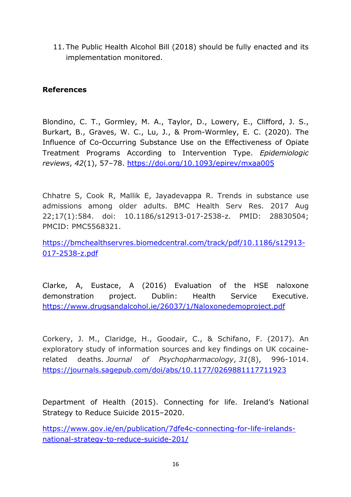11. The Public Health Alcohol Bill (2018) should be fully enacted and its implementation monitored.

## **References**

Blondino, C. T., Gormley, M. A., Taylor, D., Lowery, E., Clifford, J. S., Burkart, B., Graves, W. C., Lu, J., & Prom-Wormley, E. C. (2020). The Influence of Co-Occurring Substance Use on the Effectiveness of Opiate Treatment Programs According to Intervention Type. *Epidemiologic reviews*, *42*(1), 57–78. https://doi.org/10.1093/epirev/mxaa005

Chhatre S, Cook R, Mallik E, Jayadevappa R. Trends in substance use admissions among older adults. BMC Health Serv Res. 2017 Aug 22;17(1):584. doi: 10.1186/s12913-017-2538-z. PMID: 28830504; PMCID: PMC5568321.

https://bmchealthservres.biomedcentral.com/track/pdf/10.1186/s12913- 017-2538-z.pdf

Clarke, A, Eustace, A (2016) Evaluation of the HSE naloxone demonstration project. Dublin: Health Service Executive. https://www.drugsandalcohol.ie/26037/1/Naloxonedemoproject.pdf

Corkery, J. M., Claridge, H., Goodair, C., & Schifano, F. (2017). An exploratory study of information sources and key findings on UK cocainerelated deaths. *Journal of Psychopharmacology*, *31*(8), 996-1014. https://journals.sagepub.com/doi/abs/10.1177/0269881117711923

Department of Health (2015). Connecting for life. Ireland's National Strategy to Reduce Suicide 2015–2020.

https://www.gov.ie/en/publication/7dfe4c-connecting-for-life-irelandsnational-strategy-to-reduce-suicide-201/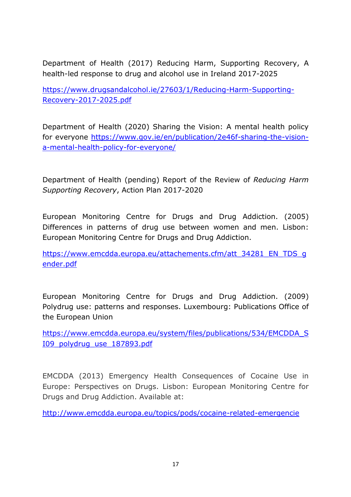Department of Health (2017) Reducing Harm, Supporting Recovery, A health-led response to drug and alcohol use in Ireland 2017-2025

https://www.drugsandalcohol.ie/27603/1/Reducing-Harm-Supporting-Recovery-2017-2025.pdf

Department of Health (2020) Sharing the Vision: A mental health policy for everyone https://www.gov.ie/en/publication/2e46f-sharing-the-visiona-mental-health-policy-for-everyone/

Department of Health (pending) Report of the Review of *Reducing Harm Supporting Recovery*, Action Plan 2017-2020

European Monitoring Centre for Drugs and Drug Addiction. (2005) Differences in patterns of drug use between women and men. Lisbon: European Monitoring Centre for Drugs and Drug Addiction.

https://www.emcdda.europa.eu/attachements.cfm/att\_34281\_EN\_TDS\_q ender.pdf

European Monitoring Centre for Drugs and Drug Addiction. (2009) Polydrug use: patterns and responses. Luxembourg: Publications Office of the European Union

https://www.emcdda.europa.eu/system/files/publications/534/EMCDDA\_S I09\_polydrug\_use\_187893.pdf

EMCDDA (2013) Emergency Health Consequences of Cocaine Use in Europe: Perspectives on Drugs. Lisbon: European Monitoring Centre for Drugs and Drug Addiction. Available at:

http://www.emcdda.europa.eu/topics/pods/cocaine-related-emergencie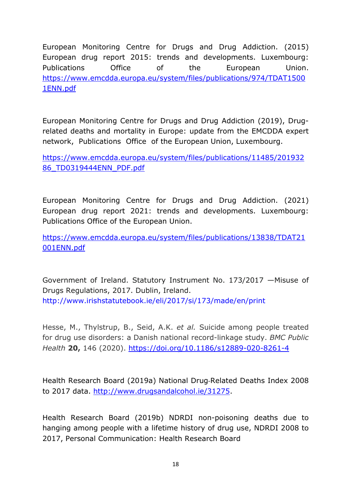European Monitoring Centre for Drugs and Drug Addiction. (2015) European drug report 2015: trends and developments. Luxembourg: Publications Office of the European Union. https://www.emcdda.europa.eu/system/files/publications/974/TDAT1500 1ENN.pdf

European Monitoring Centre for Drugs and Drug Addiction (2019), Drugrelated deaths and mortality in Europe: update from the EMCDDA expert network, Publications Office of the European Union, Luxembourg.

https://www.emcdda.europa.eu/system/files/publications/11485/201932 86\_TD0319444ENN\_PDF.pdf

European Monitoring Centre for Drugs and Drug Addiction. (2021) European drug report 2021: trends and developments. Luxembourg: Publications Office of the European Union.

https://www.emcdda.europa.eu/system/files/publications/13838/TDAT21 001ENN.pdf

Government of Ireland. Statutory Instrument No. 173/2017 —Misuse of Drugs Regulations, 2017. Dublin, Ireland. http://www.irishstatutebook.ie/eli/2017/si/173/made/en/print

Hesse, M., Thylstrup, B., Seid, A.K. *et al.* Suicide among people treated for drug use disorders: a Danish national record-linkage study. *BMC Public Health* **20,** 146 (2020). https://doi.org/10.1186/s12889-020-8261-4

Health Research Board (2019a) National Drug-Related Deaths Index 2008 to 2017 data. http://www.drugsandalcohol.ie/31275.

Health Research Board (2019b) NDRDI non-poisoning deaths due to hanging among people with a lifetime history of drug use, NDRDI 2008 to 2017, Personal Communication: Health Research Board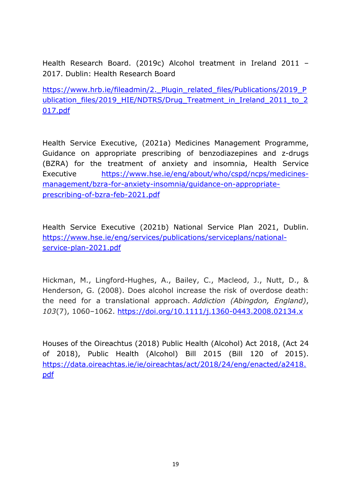Health Research Board. (2019c) Alcohol treatment in Ireland 2011 – 2017. Dublin: Health Research Board

https://www.hrb.ie/fileadmin/2. Plugin\_related\_files/Publications/2019\_P ublication\_files/2019\_HIE/NDTRS/Drug\_Treatment\_in\_Ireland\_2011\_to\_2 017.pdf

Health Service Executive, (2021a) Medicines Management Programme, Guidance on appropriate prescribing of benzodiazepines and z-drugs (BZRA) for the treatment of anxiety and insomnia, Health Service Executive https://www.hse.ie/eng/about/who/cspd/ncps/medicinesmanagement/bzra-for-anxiety-insomnia/guidance-on-appropriateprescribing-of-bzra-feb-2021.pdf

Health Service Executive (2021b) National Service Plan 2021, Dublin. https://www.hse.ie/eng/services/publications/serviceplans/nationalservice-plan-2021.pdf

Hickman, M., Lingford-Hughes, A., Bailey, C., Macleod, J., Nutt, D., & Henderson, G. (2008). Does alcohol increase the risk of overdose death: the need for a translational approach. *Addiction (Abingdon, England)*, *103*(7), 1060–1062. https://doi.org/10.1111/j.1360-0443.2008.02134.x

Houses of the Oireachtus (2018) Public Health (Alcohol) Act 2018, (Act 24 of 2018), Public Health (Alcohol) Bill 2015 (Bill 120 of 2015). https://data.oireachtas.ie/ie/oireachtas/act/2018/24/eng/enacted/a2418. pdf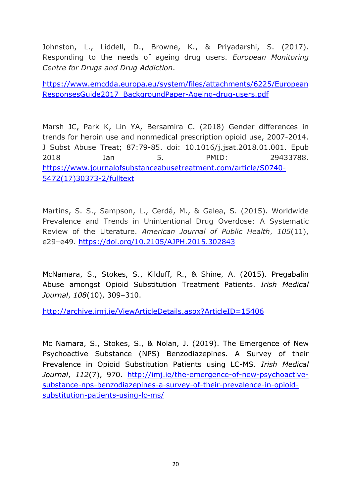Johnston, L., Liddell, D., Browne, K., & Priyadarshi, S. (2017). Responding to the needs of ageing drug users. *European Monitoring Centre for Drugs and Drug Addiction*.

https://www.emcdda.europa.eu/system/files/attachments/6225/European ResponsesGuide2017\_BackgroundPaper-Ageing-drug-users.pdf

Marsh JC, Park K, Lin YA, Bersamira C. (2018) Gender differences in trends for heroin use and nonmedical prescription opioid use, 2007-2014. J Subst Abuse Treat; 87:79-85. doi: 10.1016/j.jsat.2018.01.001. Epub 2018 Jan 5. PMID: 29433788. https://www.journalofsubstanceabusetreatment.com/article/S0740- 5472(17)30373-2/fulltext

Martins, S. S., Sampson, L., Cerdá, M., & Galea, S. (2015). Worldwide Prevalence and Trends in Unintentional Drug Overdose: A Systematic Review of the Literature. *American Journal of Public Health*, *105*(11), e29–e49. https://doi.org/10.2105/AJPH.2015.302843

McNamara, S., Stokes, S., Kilduff, R., & Shine, A. (2015). Pregabalin Abuse amongst Opioid Substitution Treatment Patients. *Irish Medical Journal*, *108*(10), 309–310.

http://archive.imj.ie/ViewArticleDetails.aspx?ArticleID=15406

Mc Namara, S., Stokes, S., & Nolan, J. (2019). The Emergence of New Psychoactive Substance (NPS) Benzodiazepines. A Survey of their Prevalence in Opioid Substitution Patients using LC-MS. *Irish Medical Journal*, *112*(7), 970. http://imj.ie/the-emergence-of-new-psychoactivesubstance-nps-benzodiazepines-a-survey-of-their-prevalence-in-opioidsubstitution-patients-using-lc-ms/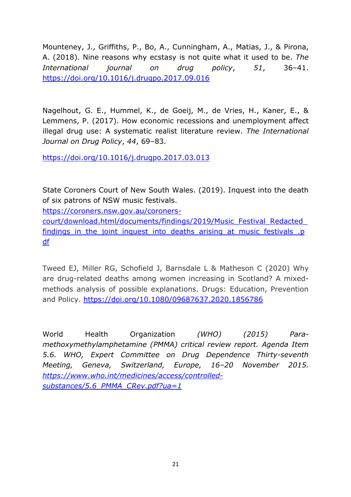Mounteney, J., Griffiths, P., Bo, A., Cunningham, A., Matias, J., & Pirona, A. (2018). Nine reasons why ecstasy is not quite what it used to be. *The International journal on drug policy*, *51*, 36–41. https://doi.org/10.1016/j.drugpo.2017.09.016

Nagelhout, G. E., Hummel, K., de Goeij, M., de Vries, H., Kaner, E., & Lemmens, P. (2017). How economic recessions and unemployment affect illegal drug use: A systematic realist literature review. *The International Journal on Drug Policy*, *44*, 69–83.

https://doi.org/10.1016/j.drugpo.2017.03.013

State Coroners Court of New South Wales. (2019). Inquest into the death of six patrons of NSW music festivals.

https://coroners.nsw.gov.au/coroners-

court/download.html/documents/findings/2019/Music\_Festival\_Redacted\_ findings in the joint inquest into deaths arising at music festivals .p df

Tweed EJ, Miller RG, Schofield J, Barnsdale L & Matheson C (2020) Why are drug-related deaths among women increasing in Scotland? A mixedmethods analysis of possible explanations. Drugs: Education, Prevention and Policy. https://doi.org/10.1080/09687637.2020.1856786

World Health Organization *(WHO) (2015) Paramethoxymethylamphetamine (PMMA) critical review report. Agenda Item 5.6. WHO, Expert Committee on Drug Dependence Thirty-seventh Meeting, Geneva, Switzerland, Europe, 16–20 November 2015. https://www.who.int/medicines/access/controlledsubstances/5.6\_PMMA\_CRev.pdf?ua=1*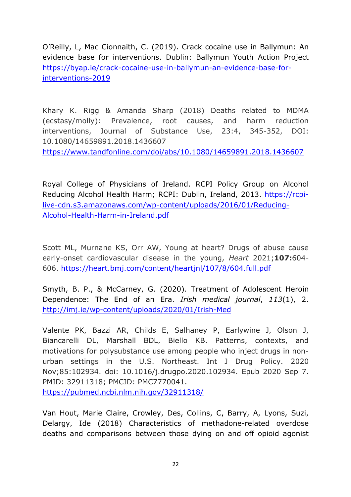O'Reilly, L, Mac Cionnaith, C. (2019). Crack cocaine use in Ballymun: An evidence base for interventions. Dublin: Ballymun Youth Action Project https://byap.ie/crack-cocaine-use-in-ballymun-an-evidence-base-forinterventions-2019

Khary K. Rigg & Amanda Sharp (2018) Deaths related to MDMA (ecstasy/molly): Prevalence, root causes, and harm reduction interventions, Journal of Substance Use, 23:4, 345-352, DOI: 10.1080/14659891.2018.1436607

https://www.tandfonline.com/doi/abs/10.1080/14659891.2018.1436607

Royal College of Physicians of Ireland. RCPI Policy Group on Alcohol Reducing Alcohol Health Harm; RCPI: Dublin, Ireland, 2013. https://rcpilive-cdn.s3.amazonaws.com/wp-content/uploads/2016/01/Reducing-Alcohol-Health-Harm-in-Ireland.pdf

Scott ML, Murnane KS, Orr AW, Young at heart? Drugs of abuse cause early-onset cardiovascular disease in the young, *Heart* 2021;**107:**604- 606. https://heart.bmj.com/content/heartjnl/107/8/604.full.pdf

Smyth, B. P., & McCarney, G. (2020). Treatment of Adolescent Heroin Dependence: The End of an Era. *Irish medical journal*, *113*(1), 2. http://imj.ie/wp-content/uploads/2020/01/Irish-Med

Valente PK, Bazzi AR, Childs E, Salhaney P, Earlywine J, Olson J, Biancarelli DL, Marshall BDL, Biello KB. Patterns, contexts, and motivations for polysubstance use among people who inject drugs in nonurban settings in the U.S. Northeast. Int J Drug Policy. 2020 Nov;85:102934. doi: 10.1016/j.drugpo.2020.102934. Epub 2020 Sep 7. PMID: 32911318; PMCID: PMC7770041. https://pubmed.ncbi.nlm.nih.gov/32911318/

Van Hout, Marie Claire, Crowley, Des, Collins, C, Barry, A, Lyons, Suzi, Delargy, Ide (2018) Characteristics of methadone-related overdose deaths and comparisons between those dying on and off opioid agonist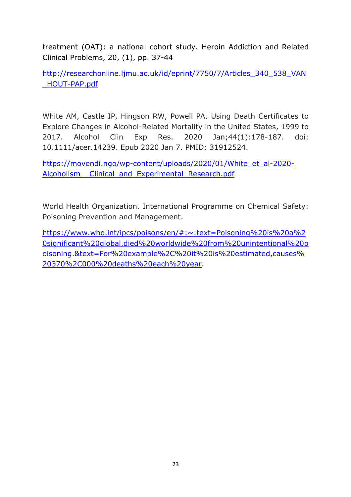treatment (OAT): a national cohort study. Heroin Addiction and Related Clinical Problems, 20, (1), pp. 37-44

http://researchonline.ljmu.ac.uk/id/eprint/7750/7/Articles\_340\_538\_VAN \_HOUT-PAP.pdf

White AM, Castle IP, Hingson RW, Powell PA. Using Death Certificates to Explore Changes in Alcohol-Related Mortality in the United States, 1999 to 2017. Alcohol Clin Exp Res. 2020 Jan;44(1):178-187. doi: 10.1111/acer.14239. Epub 2020 Jan 7. PMID: 31912524.

https://movendi.ngo/wp-content/uploads/2020/01/White\_et\_al-2020- Alcoholism Clinical and Experimental Research.pdf

World Health Organization. International Programme on Chemical Safety: Poisoning Prevention and Management.

https://www.who.int/ipcs/poisons/en/#:~:text=Poisoning%20is%20a%2 0significant%20global,died%20worldwide%20from%20unintentional%20p oisoning.&text=For%20example%2C%20it%20is%20estimated,causes% 20370%2C000%20deaths%20each%20year.